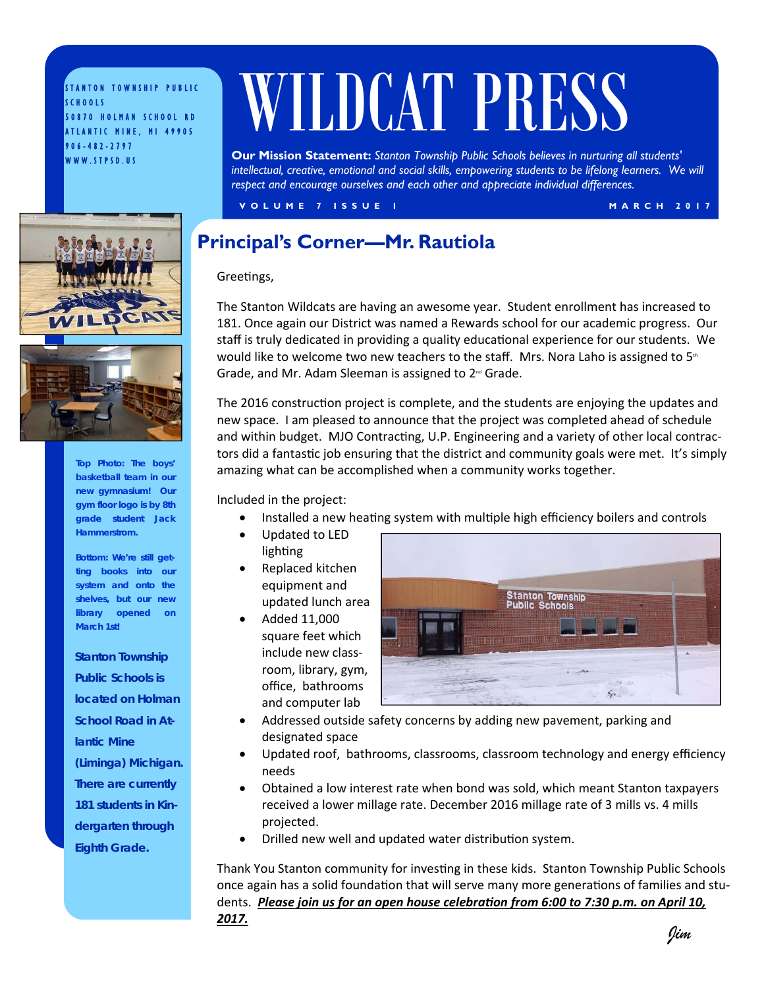STANTON TOWNSHIP PUBLIC SCHOOLS 50870 HOLMAN SCHOOL RD ATLANTIC MINE, MI 49905 906-482-2797 WWW.STPSD.US

# WILDCAT PRESS

**Our Mission Statement:** *Stanton Township Public Schools believes in nurturing all students'*  intellectual, creative, emotional and social skills, empowering students to be lifelong learners. We will *respect and encourage ourselves and each other and appreciate individual differences.* 

**VOLUME 7 ISSUE 1** MARCH 2017





**Top Photo: The boys' basketball team in our new gymnasium! Our gym floor logo is by 8th grade student Jack Hammerstrom.** 

**Bottom: We're still getting books into our system and onto the shelves, but our new library opened on March 1st!**

*Stanton Township Public Schools is located on Holman School Road in Atlantic Mine (Liminga) Michigan. There are currently 181 students in Kindergarten through Eighth Grade.* 

### **Principal's Corner—Mr. Rautiola**

Greetings,

The Stanton Wildcats are having an awesome year. Student enrollment has increased to 181. Once again our District was named a Rewards school for our academic progress. Our staff is truly dedicated in providing a quality educational experience for our students. We would like to welcome two new teachers to the staff. Mrs. Nora Laho is assigned to  $5<sup>th</sup>$ Grade, and Mr. Adam Sleeman is assigned to  $2<sup>nd</sup>$  Grade.

The 2016 construction project is complete, and the students are enjoying the updates and new space. I am pleased to announce that the project was completed ahead of schedule and within budget. MJO Contracting, U.P. Engineering and a variety of other local contractors did a fantastic job ensuring that the district and community goals were met. It's simply amazing what can be accomplished when a community works together.

Included in the project:

- Installed a new heating system with multiple high efficiency boilers and controls
- Updated to LED lighting
- Replaced kitchen equipment and updated lunch area
- Added 11,000 square feet which include new class room, library, gym, office, bathrooms and computer lab



- Addressed outside safety concerns by adding new pavement, parking and designated space
- Updated roof, bathrooms, classrooms, classroom technology and energy efficiency needs
- Obtained a low interest rate when bond was sold, which meant Stanton taxpayers received a lower millage rate. December 2016 millage rate of 3 mills vs. 4 mills projected.
- Drilled new well and updated water distribution system.

Thank You Stanton community for investing in these kids. Stanton Township Public Schools once again has a solid foundation that will serve many more generations of families and students. *Please join us for an open house celebration from 6:00 to 7:30 p.m. on April 10, 2017.*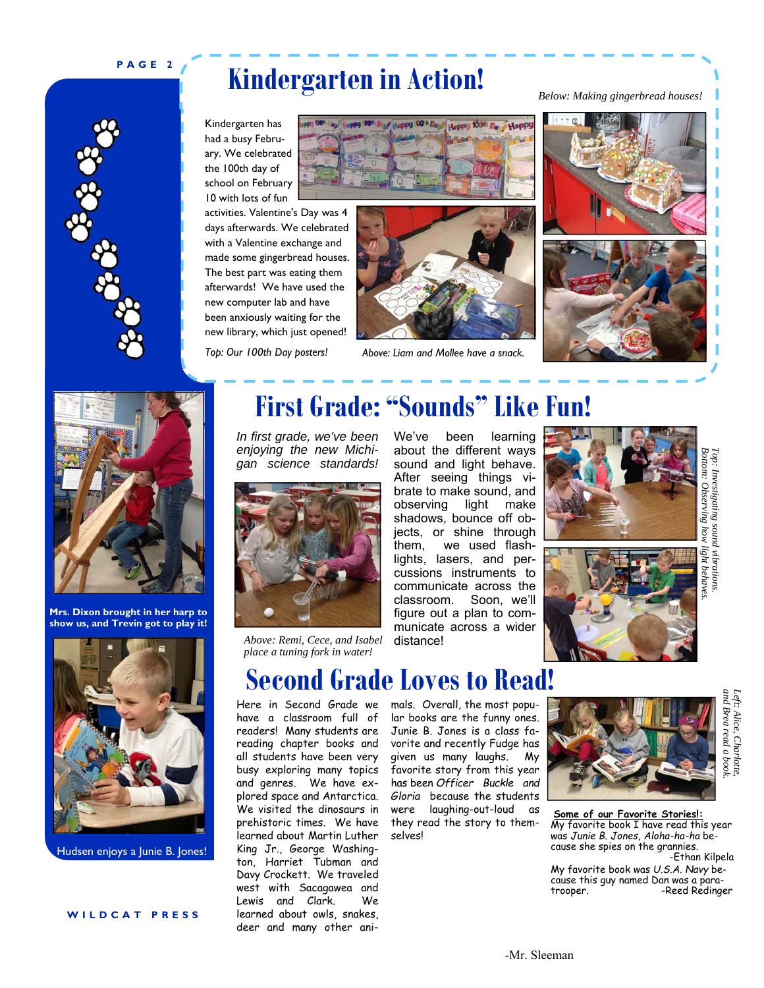### **PAGE 2**

 $\frac{3}{2} \sum_{i=1}^{n} \frac{3}{2} \sum_{i=1}^{n} \frac{3}{2} \sum_{i=1}^{n} \frac{3}{2} \sum_{i=1}^{n} \frac{3}{2} \sum_{i=1}^{n} \frac{3}{2} \sum_{i=1}^{n} \frac{3}{2} \sum_{i=1}^{n} \frac{3}{2} \sum_{i=1}^{n} \frac{3}{2} \sum_{i=1}^{n} \frac{3}{2} \sum_{i=1}^{n} \frac{3}{2} \sum_{i=1}^{n} \frac{3}{2} \sum_{i=1}^{n} \frac{3}{2} \sum_{i=1}^{n$ 

# **Kindergarten in Action!**

Kindergarten has had a busy February. We celebrated the 100th day of school on February 10 with lots of fun

activities. Valentine's Day was 4 days afterwards. We celebrated with a Valentine exchange and made some gingerbread houses. The best part was eating them afterwards! We have used the new computer lab and have been anxiously waiting for the new library, which just opened!





*Top: Our 100th Day posters! Above: Liam and Mollee have a snack.*



*Below: Making gingerbread houses!*





**Mrs. Dixon brought in her harp to show us, and Trevin got to play it!** 



Hudsen enjoys a Junie B. Jones!

## **First Grade: "Sounds" Like Fun!**

*In first grade, we've been enjoying the new Michigan science standards!* 



*Above: Remi, Cece, and Isabel place a tuning fork in water!*

We've been learning about the different ways sound and light behave. After seeing things vibrate to make sound, and observing light make shadows, bounce off objects, or shine through them, we used flashlights, lasers, and percussions instruments to communicate across the classroom. Soon, we'll figure out a plan to communicate across a wider distance!





*and Brea read a book. Left: Alice, Charlotte,* 

and Brea read a boo. Left: Alice, Charlotte



Here in Second Grade we have a classroom full of readers! Many students are reading chapter books and all students have been very busy exploring many topics and genres. We have explored space and Antarctica. We visited the dinosaurs in prehistoric times. We have learned about Martin Luther King Jr., George Washington, Harriet Tubman and Davy Crockett. We traveled west with Sacagawea and Lewis and Clark. We learned about owls, snakes, deer and many other ani-

### mals. Overall, the most popular books are the funny ones. Junie B. Jones is a class favorite and recently Fudge has given us many laughs. My favorite story from this year has been *Officer Buckle and Gloria* because the students were laughing-out-loud as they read the story to themselves!



**Some of our Favorite Stories!:**  My favorite book I have read this year was *Junie B. Jones, Aloha-ha-ha* because she spies on the grannies. -Ethan Kilpela My favorite book was *U.S.A. Navy* be-

cause this guy named Dan was a paratrooper. The Reed Redinger

# **Second Grade Loves to Read!**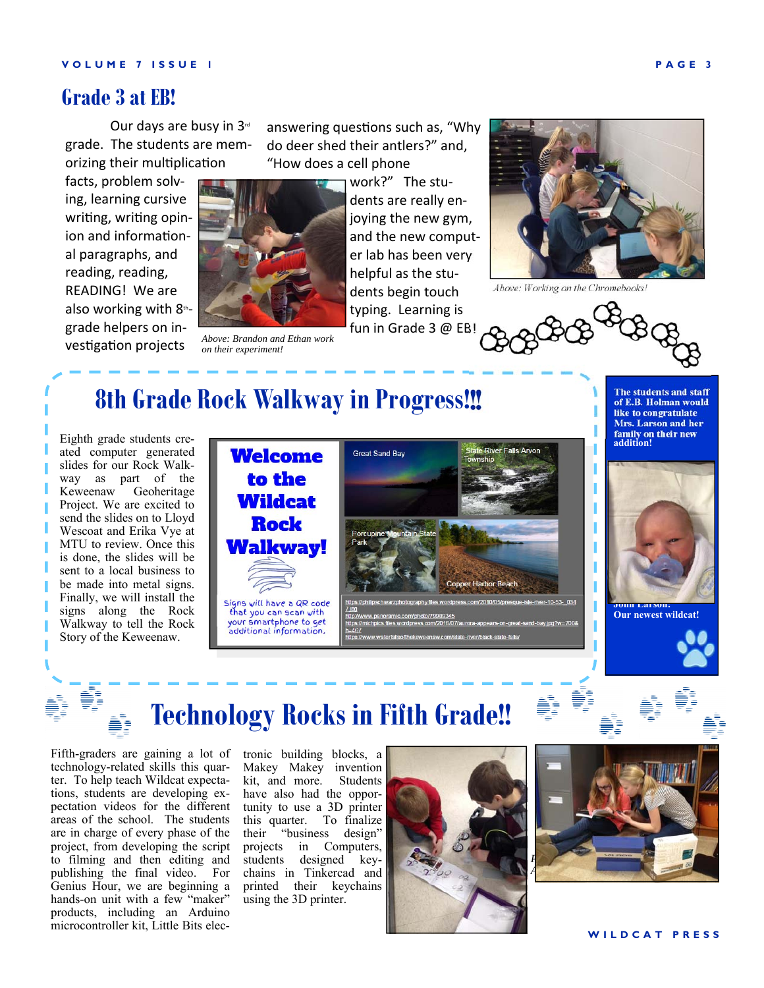### **Grade 3 at EB!**

Our days are busy in 3<sup>rd</sup> grade. The students are memorizing their multiplication

facts, problem solving, learning cursive writing, writing opinion and informational paragraphs, and reading, reading, READING! We are also working with  $8<sup>th</sup>$ grade helpers on investigation projects



*Above: Brandon and Ethan work on their experiment!* 

answering questions such as, "Why do deer shed their antlers?" and, "How does a cell phone

> work?" The students are really enjoying the new gym, and the new computer lab has been very helpful as the students begin touch typing. Learning is fun in Grade 3 @ EB!



*Above: Working on the Chromebooks!* 

 **8th Grade Rock Walkway in Progress!!!**

Eighth grade students created computer generated slides for our Rock Walkway as part of the Keweenaw Geoheritage Project. We are excited to send the slides on to Lloyd Wescoat and Erika Vye at MTU to review. Once this is done, the slides will be sent to a local business to be made into metal signs. Finally, we will install the signs along the Rock Walkway to tell the Rock Story of the Keweenaw.



**The students and staff of E.B. Holman would like to congratulate Mrs. Larson and her family on their new addition!** 



**Our newest wildcat!** 



# **Technology Rocks in Fifth Grade!!**

Fifth-graders are gaining a lot of technology-related skills this quarter. To help teach Wildcat expectations, students are developing expectation videos for the different areas of the school. The students are in charge of every phase of the project, from developing the script to filming and then editing and publishing the final video. For Genius Hour, we are beginning a hands-on unit with a few "maker" products, including an Arduino microcontroller kit, Little Bits elec-

tronic building blocks, a Makey Makey invention kit, and more. Students have also had the opportunity to use a 3D printer this quarter. To finalize their "business design" projects in Computers, students designed keychains in Tinkercad and printed their keychains using the 3D printer.